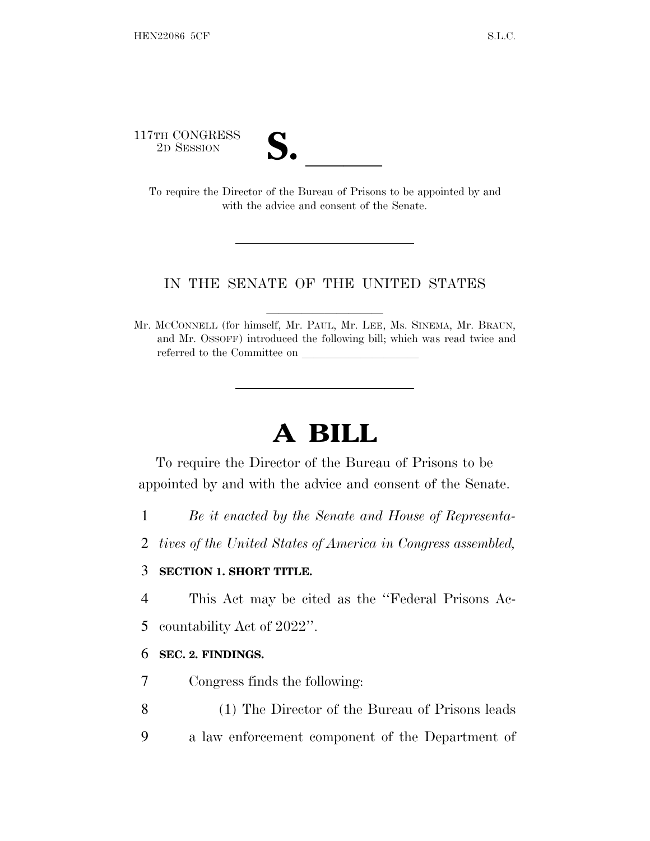117TH CONGRESS

| ◥<br>€                 |  |
|------------------------|--|
|                        |  |
| $\mathbf{\mathcal{L}}$ |  |

TH CONGRESS<br>
2D SESSION<br>
To require the Director of the Bureau of Prisons to be appointed by and with the advice and consent of the Senate.

## IN THE SENATE OF THE UNITED STATES

Mr. MCCONNELL (for himself, Mr. PAUL, Mr. LEE, Ms. SINEMA, Mr. BRAUN, and Mr. OSSOFF) introduced the following bill; which was read twice and referred to the Committee on

# **A BILL**

To require the Director of the Bureau of Prisons to be appointed by and with the advice and consent of the Senate.

1 *Be it enacted by the Senate and House of Representa-*

2 *tives of the United States of America in Congress assembled,*

### 3 **SECTION 1. SHORT TITLE.**

4 This Act may be cited as the ''Federal Prisons Ac-5 countability Act of 2022''.

### 6 **SEC. 2. FINDINGS.**

7 Congress finds the following:

- 8 (1) The Director of the Bureau of Prisons leads
- 9 a law enforcement component of the Department of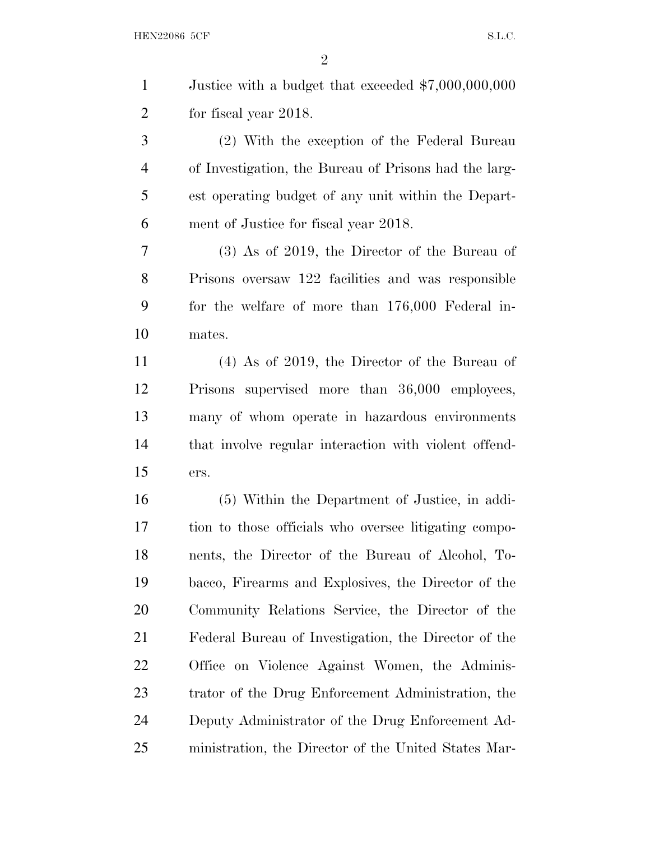HEN22086 5CF S.L.C.

 Justice with a budget that exceeded \$7,000,000,000 for fiscal year 2018. (2) With the exception of the Federal Bureau of Investigation, the Bureau of Prisons had the larg- est operating budget of any unit within the Depart- ment of Justice for fiscal year 2018. (3) As of 2019, the Director of the Bureau of Prisons oversaw 122 facilities and was responsible for the welfare of more than 176,000 Federal in- mates. (4) As of 2019, the Director of the Bureau of Prisons supervised more than 36,000 employees, many of whom operate in hazardous environments that involve regular interaction with violent offend- ers. (5) Within the Department of Justice, in addi- tion to those officials who oversee litigating compo- nents, the Director of the Bureau of Alcohol, To- bacco, Firearms and Explosives, the Director of the Community Relations Service, the Director of the Federal Bureau of Investigation, the Director of the Office on Violence Against Women, the Adminis- trator of the Drug Enforcement Administration, the Deputy Administrator of the Drug Enforcement Ad-

ministration, the Director of the United States Mar-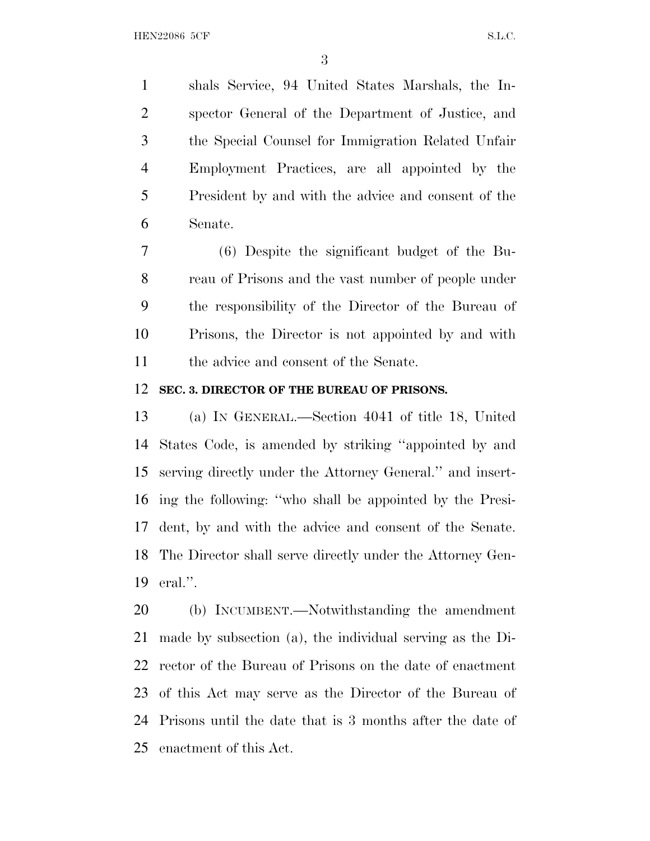shals Service, 94 United States Marshals, the In- spector General of the Department of Justice, and the Special Counsel for Immigration Related Unfair Employment Practices, are all appointed by the President by and with the advice and consent of the Senate.

 (6) Despite the significant budget of the Bu- reau of Prisons and the vast number of people under the responsibility of the Director of the Bureau of Prisons, the Director is not appointed by and with 11 the advice and consent of the Senate.

#### **SEC. 3. DIRECTOR OF THE BUREAU OF PRISONS.**

 (a) I<sup>N</sup> GENERAL.—Section 4041 of title 18, United States Code, is amended by striking ''appointed by and serving directly under the Attorney General.'' and insert- ing the following: ''who shall be appointed by the Presi- dent, by and with the advice and consent of the Senate. The Director shall serve directly under the Attorney Gen-eral.''.

 (b) INCUMBENT.—Notwithstanding the amendment made by subsection (a), the individual serving as the Di- rector of the Bureau of Prisons on the date of enactment of this Act may serve as the Director of the Bureau of Prisons until the date that is 3 months after the date of enactment of this Act.